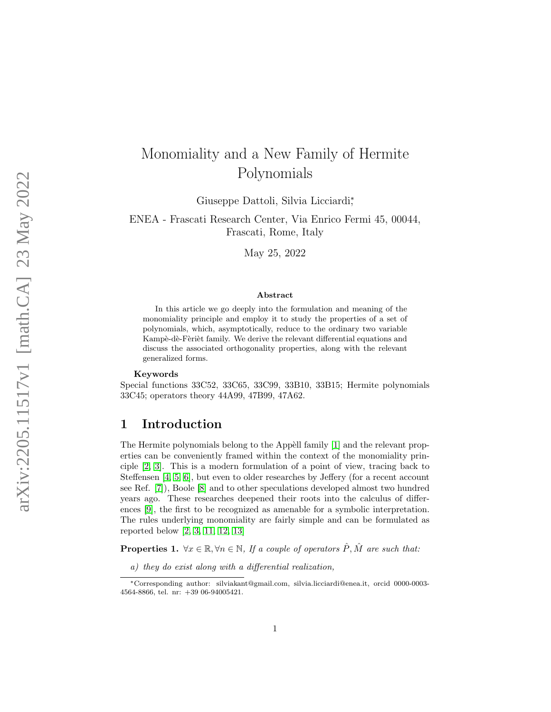# Monomiality and a New Family of Hermite Polynomials

Giuseppe Dattoli, Silvia Licciardi<sup>\*</sup>,

ENEA - Frascati Research Center, Via Enrico Fermi 45, 00044, Frascati, Rome, Italy

May 25, 2022

#### Abstract

In this article we go deeply into the formulation and meaning of the monomiality principle and employ it to study the properties of a set of polynomials, which, asymptotically, reduce to the ordinary two variable Kampè-dè-Fèrièt family. We derive the relevant differential equations and discuss the associated orthogonality properties, along with the relevant generalized forms.

#### Keywords

Special functions 33C52, 33C65, 33C99, 33B10, 33B15; Hermite polynomials 33C45; operators theory 44A99, 47B99, 47A62.

### 1 Introduction

The Hermite polynomials belong to the Appèll family [\[1\]](#page-10-0) and the relevant properties can be conveniently framed within the context of the monomiality principle [\[2,](#page-11-0) [3\]](#page-11-1). This is a modern formulation of a point of view, tracing back to Steffensen [\[4,](#page-11-2) [5,](#page-11-3) [6\]](#page-11-4), but even to older researches by Jeffery (for a recent account see Ref. [\[7\]](#page-11-5)), Boole [\[8\]](#page-11-6) and to other speculations developed almost two hundred years ago. These researches deepened their roots into the calculus of differences [\[9\]](#page-11-7), the first to be recognized as amenable for a symbolic interpretation. The rules underlying monomiality are fairly simple and can be formulated as reported below [\[2,](#page-11-0) [3,](#page-11-1) [11,](#page-11-8) [12,](#page-11-9) [13\]](#page-11-10)

**Properties 1.**  $\forall x \in \mathbb{R}, \forall n \in \mathbb{N}, \text{ If a couple of operators } \hat{P}, \hat{M} \text{ are such that:}$ 

a) they do exist along with a differential realization,

<sup>∗</sup>Corresponding author: silviakant@gmail.com, silvia.licciardi@enea.it, orcid 0000-0003- 4564-8866, tel. nr: +39 06-94005421.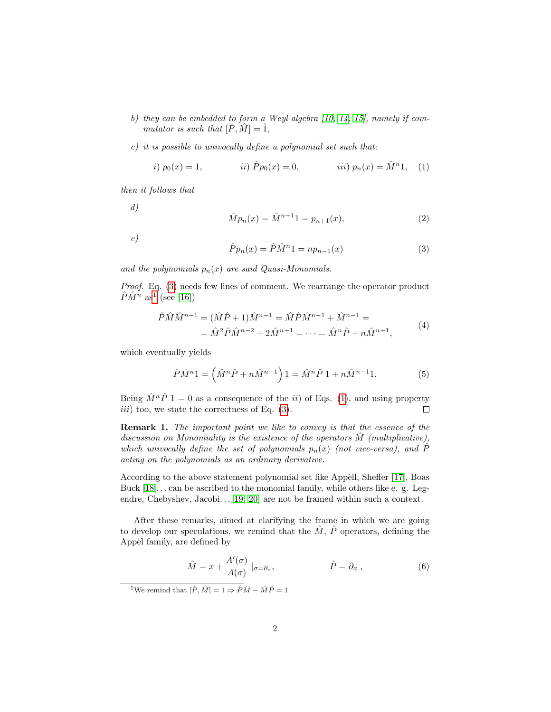- b) they can be embedded to form a Weyl algebra  $(10, 14, 15)$  $(10, 14, 15)$  $(10, 14, 15)$ , namely if commutator is such that  $[\hat{P}, \hat{M}] = \hat{1}$ ,
- c) it is possible to univocally define a polynomial set such that:

<span id="page-1-2"></span>*i)* 
$$
p_0(x) = 1
$$
,   
*ii)*  $\hat{P}p_0(x) = 0$ ,   
*iii)*  $p_n(x) = \hat{M}^n 1$ , (1)

then it follows that

d)

$$
\hat{M}p_n(x) = \hat{M}^{n+1}1 = p_{n+1}(x),\tag{2}
$$

e)

<span id="page-1-0"></span>
$$
\hat{P}p_n(x) = \hat{P}\hat{M}^n 1 = np_{n-1}(x)
$$
\n(3)

and the polynomials  $p_n(x)$  are said Quasi-Monomials.

Proof. Eq. [\(3\)](#page-1-0) needs few lines of comment. We rearrange the operator product  $\hat{P}\hat{M}^n$  as<sup>[1](#page-1-1)</sup> (see [\[16\]](#page-12-0))

$$
\hat{P}\hat{M}\hat{M}^{n-1} = (\hat{M}\hat{P} + 1)\hat{M}^{n-1} = \hat{M}\hat{P}\hat{M}^{n-1} + \hat{M}^{n-1} =
$$
  
=  $\hat{M}^2\hat{P}\hat{M}^{n-2} + 2\hat{M}^{n-1} = \dots = \hat{M}^n\hat{P} + n\hat{M}^{n-1},$  (4)

which eventually yields

$$
\hat{P}\hat{M}^{n}1 = \left(\hat{M}^{n}\hat{P} + n\hat{M}^{n-1}\right)1 = \hat{M}^{n}\hat{P}1 + n\hat{M}^{n-1}1.
$$
 (5)

Being  $\hat{M}^n\hat{P}$  1 = 0 as a consequence of the *ii*) of Eqs. [\(1\)](#page-1-2), and using property  $iii)$  too, we state the correctness of Eq.  $(3)$ .  $\Box$ 

Remark 1. The important point we like to convey is that the essence of the discussion on Monomiality is the existence of the operators  $\tilde{M}$  (multiplicative), which univocally define the set of polynomials  $p_n(x)$  (not vice-versa), and P acting on the polynomials as an ordinary derivative.

According to the above statement polynomial set like Appèll, Sheffer [\[17\]](#page-12-1), Boas Buck [\[18\]](#page-12-2). . . can be ascribed to the monomial family, while others like e. g. Leg-endre,Chebyshev, Jacobi... [\[19,](#page-12-3) [20\]](#page-12-4) are not be framed within such a context.

After these remarks, aimed at clarifying the frame in which we are going to develop our speculations, we remind that the  $\hat{M}$ ,  $\hat{P}$  operators, defining the Appèl family, are defined by

<span id="page-1-3"></span>
$$
\hat{M} = x + \frac{A'(\sigma)}{A(\sigma)} \mid_{\sigma = \partial_x}, \qquad \hat{P} = \partial_x, \qquad (6)
$$

<span id="page-1-1"></span><sup>1</sup>We remind that  $[\hat{P}, \hat{M}] = 1 \Rightarrow \hat{P}\hat{M} - \hat{M}\hat{P} = 1$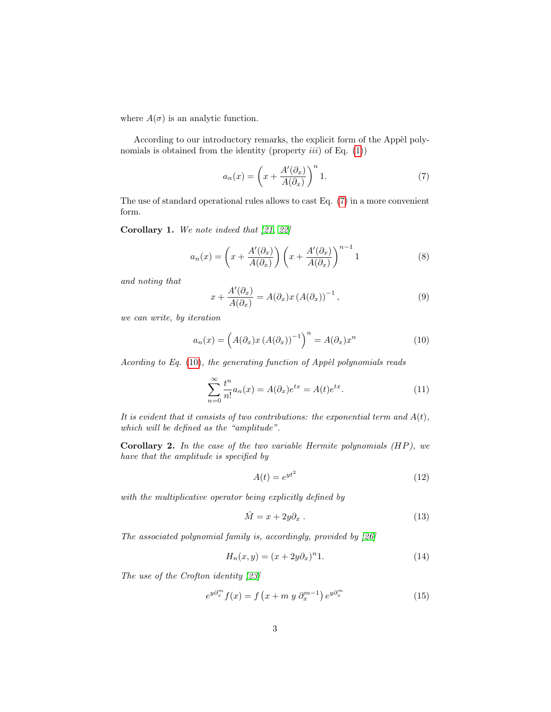where  $A(\sigma)$  is an analytic function.

According to our introductory remarks, the explicit form of the Appèl polynomials is obtained from the identity (property  $iii$ ) of Eq.  $(1)$ )

<span id="page-2-0"></span>
$$
a_n(x) = \left(x + \frac{A'(\partial_x)}{A(\partial_x)}\right)^n 1.
$$
 (7)

The use of standard operational rules allows to cast Eq. [\(7\)](#page-2-0) in a more convenient form.

Corollary 1. We note indeed that [\[21,](#page-12-5) [22\]](#page-12-6)

$$
a_n(x) = \left(x + \frac{A'(\partial_x)}{A(\partial_x)}\right) \left(x + \frac{A'(\partial_x)}{A(\partial_x)}\right)^{n-1} 1
$$
 (8)

and noting that

$$
x + \frac{A'(\partial_x)}{A(\partial_x)} = A(\partial_x)x (A(\partial_x))^{-1}, \qquad (9)
$$

we can write, by iteration

<span id="page-2-1"></span>
$$
a_n(x) = \left(A(\partial_x)x\left(A(\partial_x)\right)^{-1}\right)^n = A(\partial_x)x^n\tag{10}
$$

Acording to Eq.  $(10)$ , the generating function of Appèl polynomials reads

<span id="page-2-2"></span>
$$
\sum_{n=0}^{\infty} \frac{t^n}{n!} a_n(x) = A(\partial_x) e^{tx} = A(t) e^{tx}.
$$
\n(11)

It is evident that it consists of two contributions: the exponential term and  $A(t)$ , which will be defined as the "amplitude".

Corollary 2. In the case of the two variable Hermite polynomials  $(HP)$ , we have that the amplitude is specified by

$$
A(t) = e^{yt^2} \tag{12}
$$

with the multiplicative operator being explicitly defined by

$$
\hat{M} = x + 2y\partial_x \tag{13}
$$

The associated polynomial family is, accordingly, provided by [\[26\]](#page-12-7)

<span id="page-2-3"></span>
$$
H_n(x, y) = (x + 2y\partial_x)^n 1.
$$
\n(14)

The use of the Crofton identity [\[23\]](#page-12-8)

$$
e^{y\partial_x^m} f(x) = f\left(x + m\ y\ \partial_x^{m-1}\right) e^{y\partial_x^m} \tag{15}
$$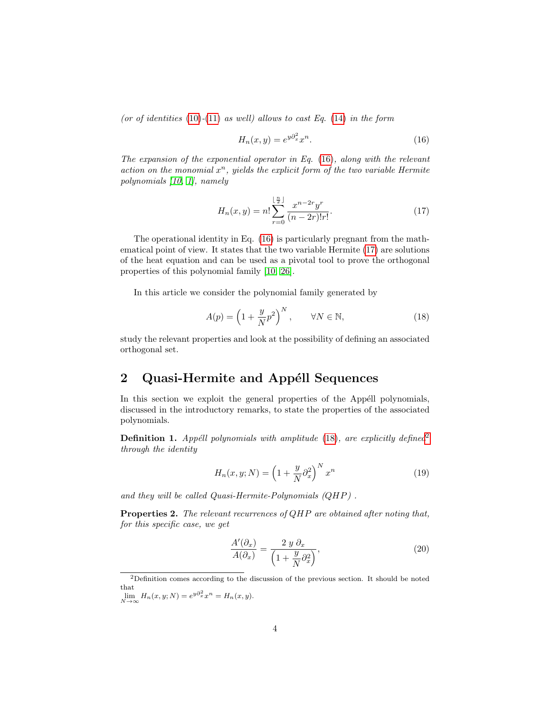(or of identities  $(10)-(11)$  $(10)-(11)$  $(10)-(11)$  as well) allows to cast Eq.  $(14)$  in the form

<span id="page-3-0"></span>
$$
H_n(x, y) = e^{y\partial_x^2} x^n.
$$
\n(16)

The expansion of the exponential operator in Eq. [\(16\)](#page-3-0), along with the relevant action on the monomial  $x^n$ , yields the explicit form of the two variable Hermite polynomials [\[10,](#page-11-11) [1\]](#page-10-0), namely

<span id="page-3-1"></span>
$$
H_n(x,y) = n! \sum_{r=0}^{\lfloor \frac{n}{2} \rfloor} \frac{x^{n-2r} y^r}{(n-2r)! r!}.
$$
 (17)

The operational identity in Eq. [\(16\)](#page-3-0) is particularly pregnant from the mathematical point of view. It states that the two variable Hermite [\(17\)](#page-3-1) are solutions of the heat equation and can be used as a pivotal tool to prove the orthogonal properties of this polynomial family [\[10,](#page-11-11) [26\]](#page-12-7).

In this article we consider the polynomial family generated by

<span id="page-3-2"></span>
$$
A(p) = \left(1 + \frac{y}{N}p^2\right)^N, \qquad \forall N \in \mathbb{N},\tag{18}
$$

study the relevant properties and look at the possibility of defining an associated orthogonal set.

### 2 Quasi-Hermite and Appéll Sequences

In this section we exploit the general properties of the Appéll polynomials, discussed in the introductory remarks, to state the properties of the associated polynomials.

**Definition 1.** Appéll polynomials with amplitude  $(18)$ , are explicitly defined<sup>[2](#page-3-3)</sup> through the identity

<span id="page-3-4"></span>
$$
H_n(x, y; N) = \left(1 + \frac{y}{N}\partial_x^2\right)^N x^n \tag{19}
$$

and they will be called Quasi-Hermite-Polynomials (QHP) .

<span id="page-3-5"></span>Properties 2. The relevant recurrences of QHP are obtained after noting that, for this specific case, we get

$$
\frac{A'(\partial_x)}{A(\partial_x)} = \frac{2 y \partial_x}{\left(1 + \frac{y}{N} \partial_x^2\right)},\tag{20}
$$

<span id="page-3-3"></span> $2$ Definition comes according to the discussion of the previous section. It should be noted that

 $\lim_{N \to \infty} H_n(x, y; N) = e^{y \partial_x^2} x^n = H_n(x, y).$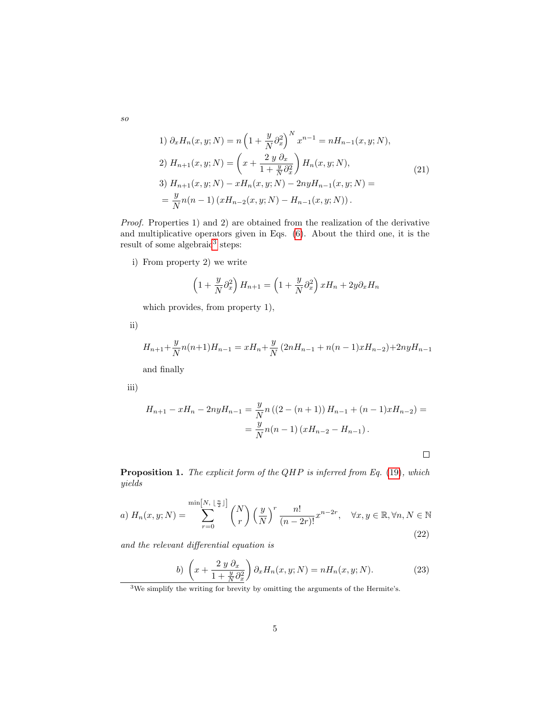1) 
$$
\partial_x H_n(x, y; N) = n \left( 1 + \frac{y}{N} \partial_x^2 \right)^N x^{n-1} = n H_{n-1}(x, y; N),
$$
  
\n2)  $H_{n+1}(x, y; N) = \left( x + \frac{2 y \partial_x}{1 + \frac{y}{N} \partial_x^2} \right) H_n(x, y; N),$   
\n3)  $H_{n+1}(x, y; N) - x H_n(x, y; N) - 2ny H_{n-1}(x, y; N) =$   
\n $= \frac{y}{N} n(n-1) \left( x H_{n-2}(x, y; N) - H_{n-1}(x, y; N) \right).$  (21)

Proof. Properties 1) and 2) are obtained from the realization of the derivative and multiplicative operators given in Eqs. [\(6\)](#page-1-3). About the third one, it is the result of some algebraic<sup>[3](#page-4-0)</sup> steps:

i) From property 2) we write

$$
\left(1+\frac{y}{N}\partial_x^2\right)H_{n+1}=\left(1+\frac{y}{N}\partial_x^2\right)xH_n+2y\partial_xH_n
$$

which provides, from property 1),

ii)

$$
H_{n+1} + \frac{y}{N}n(n+1)H_{n-1} = xH_n + \frac{y}{N}(2nH_{n-1} + n(n-1)xH_{n-2}) + 2nyH_{n-1}
$$

and finally

iii)

$$
H_{n+1} - xH_n - 2nyH_{n-1} = \frac{y}{N}n((2 - (n+1))H_{n-1} + (n-1)xH_{n-2}) =
$$
  
= 
$$
\frac{y}{N}n(n-1)(xH_{n-2} - H_{n-1}).
$$

 $\Box$ 

Proposition 1. The explicit form of the QHP is inferred from Eq. [\(19\)](#page-3-4), which yields

a) 
$$
H_n(x, y; N) = \sum_{r=0}^{\min[N, \lfloor \frac{n}{2} \rfloor]} \binom{N}{r} \left(\frac{y}{N}\right)^r \frac{n!}{(n-2r)!} x^{n-2r}, \quad \forall x, y \in \mathbb{R}, \forall n, N \in \mathbb{N}
$$
 (22)

and the relevant differential equation is

<span id="page-4-2"></span>
$$
b)\left(x+\frac{2\,y\,\partial_x}{1+\frac{y}{N}\partial_x^2}\right)\partial_x H_n(x,y;N) = nH_n(x,y;N). \tag{23}
$$

<span id="page-4-1"></span>so

<span id="page-4-0"></span><sup>&</sup>lt;sup>3</sup>We simplify the writing for brevity by omitting the arguments of the Hermite's.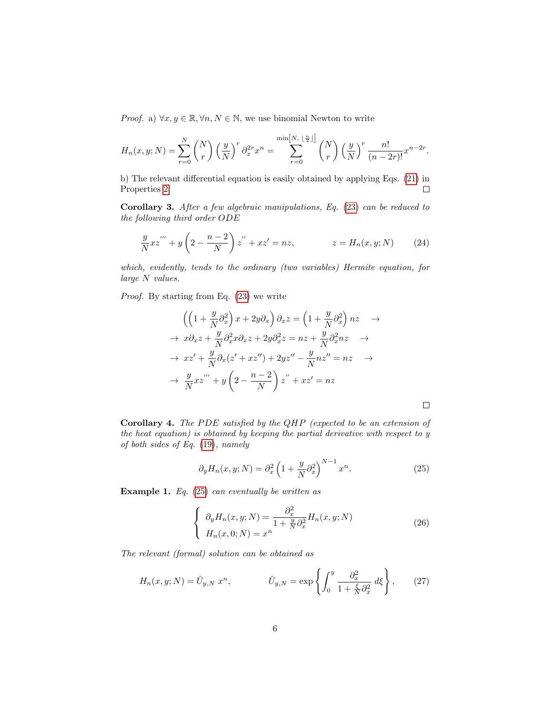*Proof.* a)  $\forall x, y \in \mathbb{R}, \forall n, N \in \mathbb{N}$ , we use binomial Newton to write

$$
H_n(x, y; N) = \sum_{r=0}^N {N \choose r} \left(\frac{y}{N}\right)^r \partial_x^{2r} x^n = \sum_{r=0}^{\min[N, \lfloor \frac{n}{2} \rfloor]} {N \choose r} \left(\frac{y}{N}\right)^r \frac{n!}{(n-2r)!} x^{n-2r}.
$$

b) The relevant differential equation is easily obtained by applying Eqs. [\(21\)](#page-4-1) in Properties [2.](#page-3-5)  $\Box$ 

<span id="page-5-2"></span>Corollary 3. After a few algebraic manipulations, Eq. [\(23\)](#page-4-2) can be reduced to the following third order ODE

$$
\frac{y}{N}xz''' + y\left(2 - \frac{n-2}{N}\right)z'' + xz' = nz, \qquad z = H_n(x, y; N) \qquad (24)
$$

which, evidently, tends to the ordinary (two variables) Hermite equation, for large N values.

Proof. By starting from Eq.  $(23)$  we write

$$
\left(\left(1+\frac{y}{N}\partial_x^2\right)x+2y\partial_x\right)\partial_x z = \left(1+\frac{y}{N}\partial_x^2\right)nz \rightarrow
$$
  
\n
$$
\rightarrow x\partial_x z + \frac{y}{N}\partial_x^2 x \partial_x z + 2y\partial_x^2 z = nz + \frac{y}{N}\partial_x^2 nz \rightarrow
$$
  
\n
$$
\rightarrow xz' + \frac{y}{N}\partial_x(z'+xz'') + 2yz'' - \frac{y}{N}nz'' = nz \rightarrow
$$
  
\n
$$
\rightarrow \frac{y}{N}xz''' + y\left(2-\frac{n-2}{N}\right)z'' + xz' = nz
$$

Corollary 4. The PDE satisfied by the QHP (expected to be an extension of the heat equation) is obtained by keeping the partial derivative with respect to y of both sides of Eq. [\(19\)](#page-3-4), namely

<span id="page-5-0"></span>
$$
\partial_y H_n(x, y; N) = \partial_x^2 \left( 1 + \frac{y}{N} \partial_x^2 \right)^{N-1} x^n.
$$
 (25)

 $\Box$ 

**Example 1.** Eq.  $(25)$  can eventually be written as

$$
\begin{cases}\n\partial_y H_n(x, y; N) = \frac{\partial_x^2}{1 + \frac{y}{N} \partial_x^2} H_n(x, y; N) \\
H_n(x, 0; N) = x^n\n\end{cases}
$$
\n(26)

The relevant (formal) solution can be obtained as

<span id="page-5-1"></span>
$$
H_n(x, y; N) = \hat{U}_{y, N} x^n, \qquad \hat{U}_{y, N} = \exp\left\{ \int_0^y \frac{\partial_x^2}{1 + \frac{\xi}{N} \partial_x^2} d\xi \right\}, \qquad (27)
$$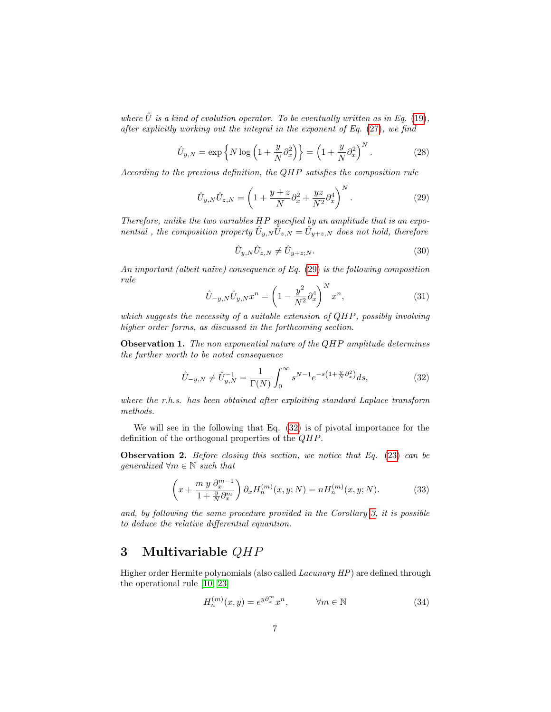where  $\hat{U}$  is a kind of evolution operator. To be eventually written as in Eq. [\(19\)](#page-3-4), after explicitly working out the integral in the exponent of Eq. [\(27\)](#page-5-1), we find

$$
\hat{U}_{y,N} = \exp\left\{N\log\left(1 + \frac{y}{N}\partial_x^2\right)\right\} = \left(1 + \frac{y}{N}\partial_x^2\right)^N.
$$
\n(28)

According to the previous definition, the QHP satisfies the composition rule

<span id="page-6-0"></span>
$$
\hat{U}_{y,N}\hat{U}_{z,N} = \left(1 + \frac{y+z}{N}\partial_x^2 + \frac{yz}{N^2}\partial_x^4\right)^N.
$$
\n(29)

Therefore, unlike the two variables HP specified by an amplitude that is an exponential, the composition property  $\hat{U}_{y,N}\overline{\hat{U}}_{z,N}=\hat{U}_{y+z,N}$  does not hold, therefore

$$
\hat{U}_{y,N}\hat{U}_{z,N} \neq \hat{U}_{y+z,N}.\tag{30}
$$

An important (albeit naïve) consequence of Eq.  $(29)$  is the following composition rule

<span id="page-6-2"></span>
$$
\hat{U}_{-y,N}\hat{U}_{y,N}x^n = \left(1 - \frac{y^2}{N^2}\partial_x^4\right)^N x^n,
$$
\n(31)

which suggests the necessity of a suitable extension of QHP, possibly involving higher order forms, as discussed in the forthcoming section.

**Observation 1.** The non exponential nature of the QHP amplitude determines the further worth to be noted consequence

<span id="page-6-1"></span>
$$
\hat{U}_{-y,N} \neq \hat{U}_{y,N}^{-1} = \frac{1}{\Gamma(N)} \int_0^\infty s^{N-1} e^{-s\left(1 + \frac{y}{N}\partial_x^2\right)} ds,\tag{32}
$$

where the r.h.s. has been obtained after exploiting standard Laplace transform methods.

We will see in the following that Eq. [\(32\)](#page-6-1) is of pivotal importance for the definition of the orthogonal properties of the QHP.

**Observation 2.** Before closing this section, we notice that Eq.  $(23)$  can be qeneralized  $\forall m \in \mathbb{N}$  such that

<span id="page-6-3"></span>
$$
\left(x + \frac{m y \partial_x^{m-1}}{1 + \frac{y}{N} \partial_x^m}\right) \partial_x H_n^{(m)}(x, y; N) = n H_n^{(m)}(x, y; N). \tag{33}
$$

and, by following the same procedure provided in the Corollary [3,](#page-5-2) it is possible to deduce the relative differential equantion.

### 3 Multivariable QHP

Higher order Hermite polynomials (also called Lacunary HP) are defined through the operational rule [\[10,](#page-11-11) [23\]](#page-12-8)

$$
H_n^{(m)}(x,y) = e^{y\partial_x^m} x^n, \qquad \forall m \in \mathbb{N}
$$
 (34)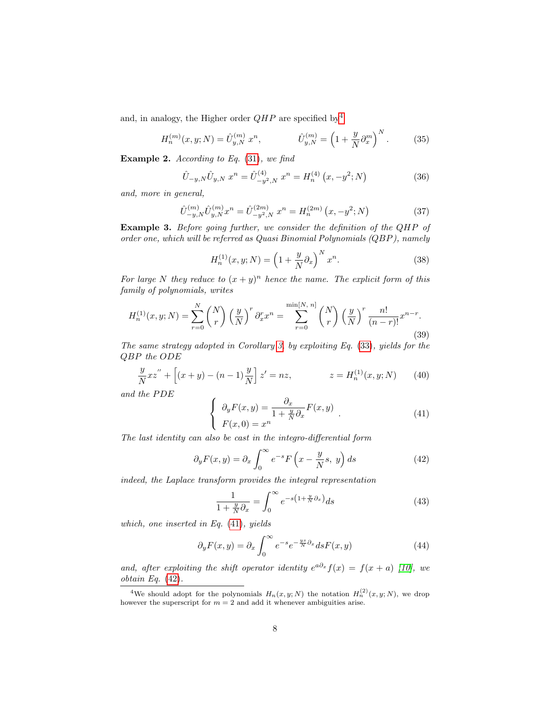and, in analogy, the Higher order  $QHP$  are specified by<sup>[4](#page-7-0)</sup>

$$
H_n^{(m)}(x, y; N) = \hat{U}_{y, N}^{(m)} x^n, \qquad \hat{U}_{y, N}^{(m)} = \left(1 + \frac{y}{N} \partial_x^m\right)^N. \tag{35}
$$

**Example 2.** According to Eq.  $(31)$ , we find

$$
\hat{U}_{-y,N}\hat{U}_{y,N} x^n = \hat{U}_{-y^2,N}^{(4)} x^n = H_n^{(4)} (x, -y^2; N)
$$
\n(36)

and, more in general,

$$
\hat{U}_{-y,N}^{(m)} \hat{U}_{y,N}^{(m)} x^n = \hat{U}_{-y^2,N}^{(2m)} x^n = H_n^{(2m)} (x, -y^2; N)
$$
\n(37)

Example 3. Before going further, we consider the definition of the QHP of order one, which will be referred as Quasi Binomial Polynomials (QBP), namely

$$
H_n^{(1)}(x, y; N) = \left(1 + \frac{y}{N}\partial_x\right)^N x^n.
$$
 (38)

For large N they reduce to  $(x + y)^n$  hence the name. The explicit form of this family of polynomials, writes

$$
H_n^{(1)}(x, y; N) = \sum_{r=0}^{N} {N \choose r} \left(\frac{y}{N}\right)^r \partial_x^r x^n = \sum_{r=0}^{\min[N, n]} {N \choose r} \left(\frac{y}{N}\right)^r \frac{n!}{(n-r)!} x^{n-r}.
$$
\n(39)

The same strategy adopted in Corollary [3,](#page-5-2) by exploiting Eq. [\(33\)](#page-6-3), yields for the QBP the ODE

$$
\frac{y}{N}xz'' + \left[ (x+y) - (n-1)\frac{y}{N} \right]z' = nz, \qquad z = H_n^{(1)}(x, y; N) \qquad (40)
$$

and the PDE

<span id="page-7-1"></span>
$$
\begin{cases}\n\partial_y F(x,y) = \frac{\partial_x}{1 + \frac{y}{N} \partial_x} F(x,y) \\
F(x,0) = x^n\n\end{cases} \tag{41}
$$

The last identity can also be cast in the integro-differential form

<span id="page-7-2"></span>
$$
\partial_y F(x, y) = \partial_x \int_0^\infty e^{-s} F\left(x - \frac{y}{N}s, y\right) ds \tag{42}
$$

indeed, the Laplace transform provides the integral representation

$$
\frac{1}{1 + \frac{y}{N}\partial_x} = \int_0^\infty e^{-s\left(1 + \frac{y}{N}\partial_x\right)} ds \tag{43}
$$

which, one inserted in Eq. [\(41\)](#page-7-1), yields

$$
\partial_y F(x, y) = \partial_x \int_0^\infty e^{-s} e^{-\frac{ys}{N} \partial_x} ds F(x, y) \tag{44}
$$

and, after exploiting the shift operator identity  $e^{a\partial_x} f(x) = f(x+a)$  [\[10\]](#page-11-11), we obtain Eq.  $(42)$ .

<span id="page-7-0"></span><sup>&</sup>lt;sup>4</sup>We should adopt for the polynomials  $H_n(x, y; N)$  the notation  $H_n^{(2)}(x, y; N)$ , we drop however the superscript for  $m = 2$  and add it whenever ambiguities arise.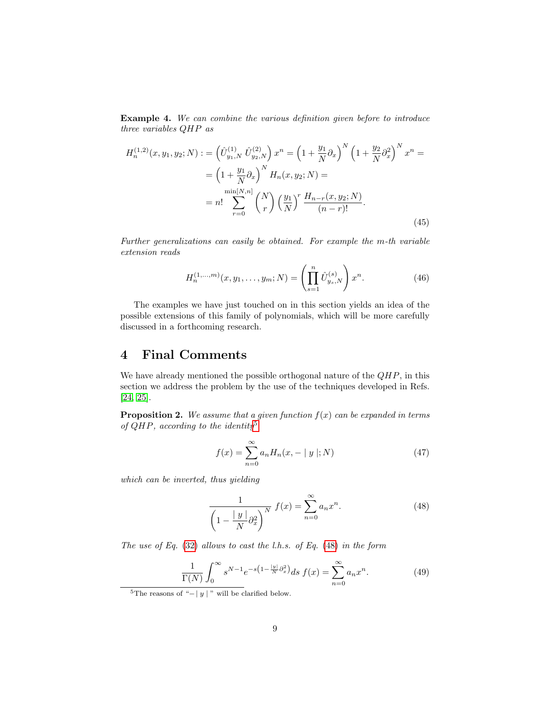Example 4. We can combine the various definition given before to introduce three variables QHP as

$$
H_n^{(1,2)}(x, y_1, y_2; N) := \left(\hat{U}_{y_1, N}^{(1)} \hat{U}_{y_2, N}^{(2)}\right) x^n = \left(1 + \frac{y_1}{N} \partial_x\right)^N \left(1 + \frac{y_2}{N} \partial_x^2\right)^N x^n =
$$
  

$$
= \left(1 + \frac{y_1}{N} \partial_x\right)^N H_n(x, y_2; N) =
$$
  

$$
= n! \sum_{r=0}^{\min[N, n]} \binom{N}{r} \left(\frac{y_1}{N}\right)^r \frac{H_{n-r}(x, y_2; N)}{(n-r)!}.
$$
 (45)

Further generalizations can easily be obtained. For example the m-th variable extension reads

$$
H_n^{(1,...,m)}(x, y_1, \dots, y_m; N) = \left(\prod_{s=1}^n \hat{U}_{y_s, N}^{(s)}\right) x^n.
$$
 (46)

The examples we have just touched on in this section yields an idea of the possible extensions of this family of polynomials, which will be more carefully discussed in a forthcoming research.

# 4 Final Comments

We have already mentioned the possible orthogonal nature of the  $QHP$ , in this section we address the problem by the use of the techniques developed in Refs. [\[24,](#page-12-9) [25\]](#page-12-10).

**Proposition 2.** We assume that a given function  $f(x)$  can be expanded in terms of  $QHP$ , according to the identity<sup>[5](#page-8-0)</sup>

<span id="page-8-3"></span>
$$
f(x) = \sum_{n=0}^{\infty} a_n H_n(x, - |y|; N)
$$
 (47)

which can be inverted, thus yielding

<span id="page-8-1"></span>
$$
\frac{1}{\left(1 - \frac{|y|}{N}\partial_x^2\right)^N} f(x) = \sum_{n=0}^{\infty} a_n x^n.
$$
 (48)

The use of Eq.  $(32)$  allows to cast the l.h.s. of Eq.  $(48)$  in the form

<span id="page-8-2"></span>
$$
\frac{1}{\Gamma(N)} \int_0^\infty s^{N-1} e^{-s\left(1 - \frac{|y|}{N}\partial_x^2\right)} ds \ f(x) = \sum_{n=0}^\infty a_n x^n. \tag{49}
$$

<span id="page-8-0"></span><sup>&</sup>lt;sup>5</sup>The reasons of "−| y|" will be clarified below.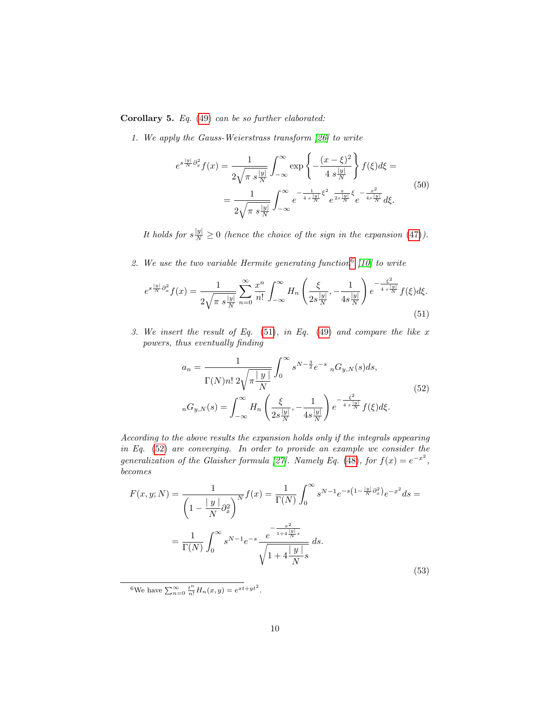Corollary 5. Eq. [\(49\)](#page-8-2) can be so further elaborated:

1. We apply the Gauss-Weierstrass transform [\[26\]](#page-12-7) to write

$$
e^{s\frac{|y|}{N}\partial_x^2} f(x) = \frac{1}{2\sqrt{\pi s\frac{|y|}{N}}} \int_{-\infty}^{\infty} \exp\left\{-\frac{(x-\xi)^2}{4\ s\frac{|y|}{N}}\right\} f(\xi) d\xi =
$$
  
= 
$$
\frac{1}{2\sqrt{\pi s\frac{|y|}{N}}} \int_{-\infty}^{\infty} e^{-\frac{1}{4s\frac{|y|}{N}}\xi^2} e^{\frac{x}{2s\frac{|y|}{N}}\xi} e^{-\frac{x^2}{4s\frac{|y|}{N}}} d\xi.
$$
 (50)

It holds for  $s^{\parallel y \parallel}_{N} \geq 0$  (hence the choice of the sign in the expansion [\(47\)](#page-8-3)).

2. We use the two variable Hermite generating function  $6 \mid 10$  $6 \mid 10$  to write

<span id="page-9-1"></span>
$$
e^{s\frac{|y|}{N}\partial_x^2} f(x) = \frac{1}{2\sqrt{\pi s\frac{|y|}{N}}} \sum_{n=0}^{\infty} \frac{x^n}{n!} \int_{-\infty}^{\infty} H_n\left(\frac{\xi}{2s\frac{|y|}{N}}, -\frac{1}{4s\frac{|y|}{N}}\right) e^{-\frac{\xi^2}{4s\frac{|y|}{N}}} f(\xi) d\xi.
$$
\n(51)

3. We insert the result of Eq.  $(51)$ , in Eq.  $(49)$  and compare the like x powers, thus eventually finding

<span id="page-9-2"></span>
$$
a_n = \frac{1}{\Gamma(N)n! \ 2\sqrt{\pi \frac{|y|}{N}}} \int_0^\infty s^{N-\frac{3}{2}} e^{-s} \, _nG_{y,N}(s)ds,
$$
  

$$
_nG_{y,N}(s) = \int_{-\infty}^\infty H_n\left(\frac{\xi}{2s\frac{|y|}{N}}, -\frac{1}{4s\frac{|y|}{N}}\right) e^{-\frac{\xi^2}{4s\frac{|y|}{N}}} f(\xi)d\xi.
$$
 (52)

According to the above results the expansion holds only if the integrals appearing in Eq. [\(52\)](#page-9-2) are converging. In order to provide an example we consider the generalization of the Glaisher formula [\[27\]](#page-12-11). Namely Eq. [\(48\)](#page-8-1), for  $f(x) = e^{-x^2}$ , becomes

$$
F(x, y; N) = \frac{1}{\left(1 - \frac{|y|}{N}\partial_x^2\right)^N} f(x) = \frac{1}{\Gamma(N)} \int_0^\infty s^{N-1} e^{-s\left(1 - \frac{|y|}{N}\partial_x^2\right)} e^{-x^2} ds =
$$

$$
= \frac{1}{\Gamma(N)} \int_0^\infty s^{N-1} e^{-s} \frac{e^{-\frac{x^2}{1 + 4\frac{|y|}{N}s}}}{\sqrt{1 + 4\frac{|y|}{N}s}} ds.
$$
(53)

<span id="page-9-0"></span><sup>6</sup>We have  $\sum_{n=0}^{\infty} \frac{t^n}{n!} H_n(x, y) = e^{xt + yt^2}$ .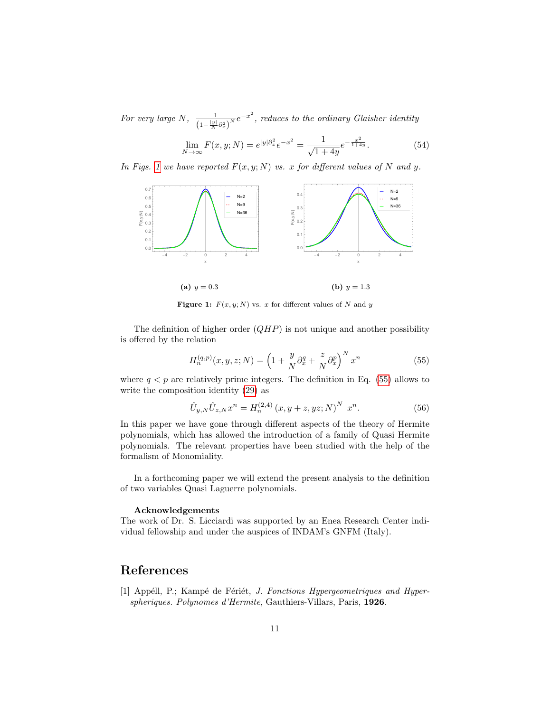For very large N,  $\frac{1}{(1+|y|)^n}$  $\frac{1}{\left(1-\frac{|y|}{N}\partial_x^2\right)^N}e^{-x^2}$ , reduces to the ordinary Glaisher identity

$$
\lim_{N \to \infty} F(x, y; N) = e^{|y| \partial_x^2} e^{-x^2} = \frac{1}{\sqrt{1+4y}} e^{-\frac{x^2}{1+4y}}.
$$
\n(54)

In Figs. [1](#page-10-1) we have reported  $F(x, y; N)$  vs. x for different values of N and y.

<span id="page-10-1"></span>

(a)  $y = 0.3$ (**b**)  $y = 1.3$ 

Figure 1:  $F(x, y; N)$  vs. x for different values of N and y

The definition of higher order  $(QHP)$  is not unique and another possibility is offered by the relation

<span id="page-10-2"></span>
$$
H_n^{(q,p)}(x,y,z;N) = \left(1 + \frac{y}{N}\partial_x^q + \frac{z}{N}\partial_x^p\right)^N x^n\tag{55}
$$

where  $q < p$  are relatively prime integers. The definition in Eq. [\(55\)](#page-10-2) allows to write the composition identity [\(29\)](#page-6-0) as

$$
\hat{U}_{y,N}\hat{U}_{z,N}x^{n} = H_{n}^{(2,4)}(x, y+z, yz; N)^{N} x^{n}.
$$
\n(56)

In this paper we have gone through different aspects of the theory of Hermite polynomials, which has allowed the introduction of a family of Quasi Hermite polynomials. The relevant properties have been studied with the help of the formalism of Monomiality.

In a forthcoming paper we will extend the present analysis to the definition of two variables Quasi Laguerre polynomials.

#### Acknowledgements

The work of Dr. S. Licciardi was supported by an Enea Research Center individual fellowship and under the auspices of INDAM's GNFM (Italy).

# References

<span id="page-10-0"></span>[1] Appéll, P.; Kampé de Fériét, *J. Fonctions Hypergeometriques and Hyper*spheriques. Polynomes d'Hermite, Gauthiers-Villars, Paris, 1926.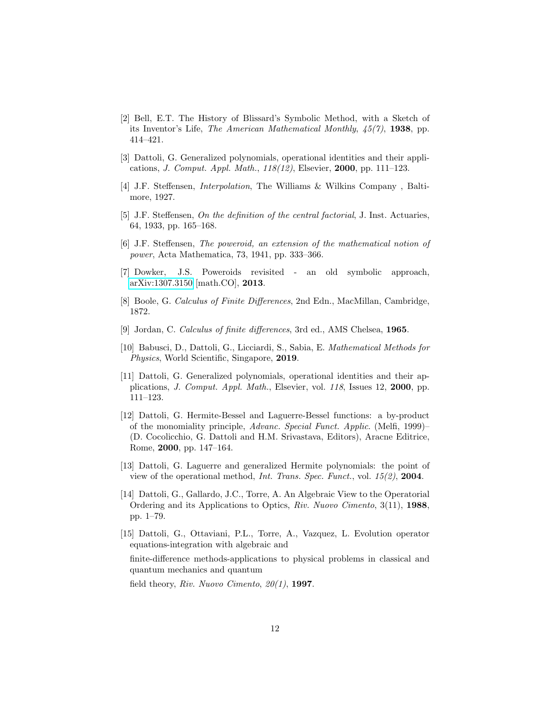- <span id="page-11-0"></span>[2] Bell, E.T. The History of Blissard's Symbolic Method, with a Sketch of its Inventor's Life, The American Mathematical Monthly,  $\frac{45}{7}$ , 1938, pp. 414–421.
- <span id="page-11-1"></span>[3] Dattoli, G. Generalized polynomials, operational identities and their applications, J. Comput. Appl. Math., 118(12), Elsevier, 2000, pp. 111–123.
- <span id="page-11-2"></span>[4] J.F. Steffensen, Interpolation, The Williams & Wilkins Company , Baltimore, 1927.
- <span id="page-11-3"></span>[5] J.F. Steffensen, On the definition of the central factorial, J. Inst. Actuaries, 64, 1933, pp. 165–168.
- <span id="page-11-4"></span>[6] J.F. Steffensen, The poweroid, an extension of the mathematical notion of power, Acta Mathematica, 73, 1941, pp. 333–366.
- <span id="page-11-5"></span>[7] Dowker, J.S. Poweroids revisited - an old symbolic approach, [arXiv:1307.3150](http://arxiv.org/abs/1307.3150) [math.CO], 2013.
- <span id="page-11-6"></span>[8] Boole, G. Calculus of Finite Differences, 2nd Edn., MacMillan, Cambridge, 1872.
- <span id="page-11-7"></span>[9] Jordan, C. Calculus of finite differences, 3rd ed., AMS Chelsea, 1965.
- <span id="page-11-11"></span>[10] Babusci, D., Dattoli, G., Licciardi, S., Sabia, E. Mathematical Methods for Physics, World Scientific, Singapore, 2019.
- <span id="page-11-8"></span>[11] Dattoli, G. Generalized polynomials, operational identities and their applications, J. Comput. Appl. Math., Elsevier, vol. 118, Issues 12, 2000, pp. 111–123.
- <span id="page-11-9"></span>[12] Dattoli, G. Hermite-Bessel and Laguerre-Bessel functions: a by-product of the monomiality principle, Advanc. Special Funct. Applic. (Melfi, 1999)– (D. Cocolicchio, G. Dattoli and H.M. Srivastava, Editors), Aracne Editrice, Rome, 2000, pp. 147–164.
- <span id="page-11-10"></span>[13] Dattoli, G. Laguerre and generalized Hermite polynomials: the point of view of the operational method, Int. Trans. Spec. Funct., vol.  $15(2)$ , **2004**.
- <span id="page-11-12"></span>[14] Dattoli, G., Gallardo, J.C., Torre, A. An Algebraic View to the Operatorial Ordering and its Applications to Optics, Riv. Nuovo Cimento, 3(11), 1988, pp. 1–79.
- <span id="page-11-13"></span>[15] Dattoli, G., Ottaviani, P.L., Torre, A., Vazquez, L. Evolution operator equations-integration with algebraic and

finite-difference methods-applications to physical problems in classical and quantum mechanics and quantum

field theory, Riv. Nuovo Cimento,  $20(1)$ , 1997.